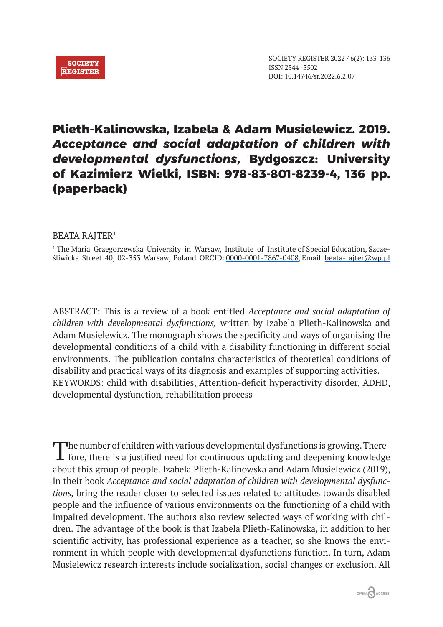

## **Plieth-Kalinowska, Izabela & Adam Musielewicz. 2019.**  *Acceptance and social adaptation of children with developmental dysfunctions***, Bydgoszcz: University of Kazimierz Wielki, ISBN: 978-83-801-8239-4, 136 pp. (paperback)**

## BEATA RAJTER<sup>1</sup>

1 The Maria Grzegorzewska University in Warsaw, Institute of Institute of Special Education, Szczęśliwicka Street 40, 02-353 Warsaw, Poland. ORCID: 0000-0001-7867-0408, Email: beata-rajter@wp.pl

ABSTRACT: This is a review of a book entitled *Acceptance and social adaptation of children with developmental dysfunctions,* written by Izabela Plieth-Kalinowska and Adam Musielewicz. The monograph shows the specificity and ways of organising the developmental conditions of a child with a disability functioning in different social environments. The publication contains characteristics of theoretical conditions of disability and practical ways of its diagnosis and examples of supporting activities. KEYWORDS: child with disabilities, Attention-deficit hyperactivity disorder, ADHD, developmental dysfunction*,* rehabilitation process

The number of children with various developmental dysfunctions is growing. There-fore, there is a justified need for continuous updating and deepening knowledge about this group of people. Izabela Plieth-Kalinowska and Adam Musielewicz (2019), in their book *Acceptance and social adaptation of children with developmental dysfunctions,* bring the reader closer to selected issues related to attitudes towards disabled people and the influence of various environments on the functioning of a child with impaired development. The authors also review selected ways of working with children. The advantage of the book is that Izabela Plieth-Kalinowska, in addition to her scientific activity, has professional experience as a teacher, so she knows the environment in which people with developmental dysfunctions function. In turn, Adam Musielewicz research interests include socialization, social changes or exclusion. All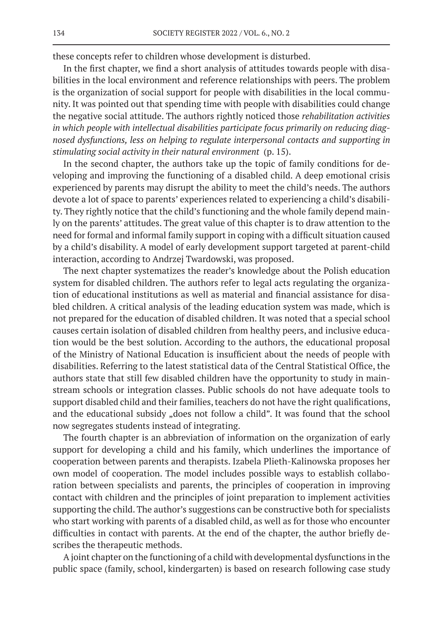these concepts refer to children whose development is disturbed.

In the first chapter, we find a short analysis of attitudes towards people with disabilities in the local environment and reference relationships with peers. The problem is the organization of social support for people with disabilities in the local community. It was pointed out that spending time with people with disabilities could change the negative social attitude. The authors rightly noticed those *rehabilitation activities in which people with intellectual disabilities participate focus primarily on reducing diagnosed dysfunctions, less on helping to regulate interpersonal contacts and supporting in stimulating social activity in their natural environment* (p. 15).

In the second chapter, the authors take up the topic of family conditions for developing and improving the functioning of a disabled child. A deep emotional crisis experienced by parents may disrupt the ability to meet the child's needs. The authors devote a lot of space to parents' experiences related to experiencing a child's disability. They rightly notice that the child's functioning and the whole family depend mainly on the parents' attitudes. The great value of this chapter is to draw attention to the need for formal and informal family support in coping with a difficult situation caused by a child's disability. A model of early development support targeted at parent-child interaction, according to Andrzej Twardowski, was proposed.

The next chapter systematizes the reader's knowledge about the Polish education system for disabled children. The authors refer to legal acts regulating the organization of educational institutions as well as material and financial assistance for disabled children. A critical analysis of the leading education system was made, which is not prepared for the education of disabled children. It was noted that a special school causes certain isolation of disabled children from healthy peers, and inclusive education would be the best solution. According to the authors, the educational proposal of the Ministry of National Education is insufficient about the needs of people with disabilities. Referring to the latest statistical data of the Central Statistical Office, the authors state that still few disabled children have the opportunity to study in mainstream schools or integration classes. Public schools do not have adequate tools to support disabled child and their families, teachers do not have the right qualifications, and the educational subsidy "does not follow a child". It was found that the school now segregates students instead of integrating.

The fourth chapter is an abbreviation of information on the organization of early support for developing a child and his family, which underlines the importance of cooperation between parents and therapists. Izabela Plieth-Kalinowska proposes her own model of cooperation. The model includes possible ways to establish collaboration between specialists and parents, the principles of cooperation in improving contact with children and the principles of joint preparation to implement activities supporting the child. The author's suggestions can be constructive both for specialists who start working with parents of a disabled child, as well as for those who encounter difficulties in contact with parents. At the end of the chapter, the author briefly describes the therapeutic methods.

A joint chapter on the functioning of a child with developmental dysfunctions in the public space (family, school, kindergarten) is based on research following case study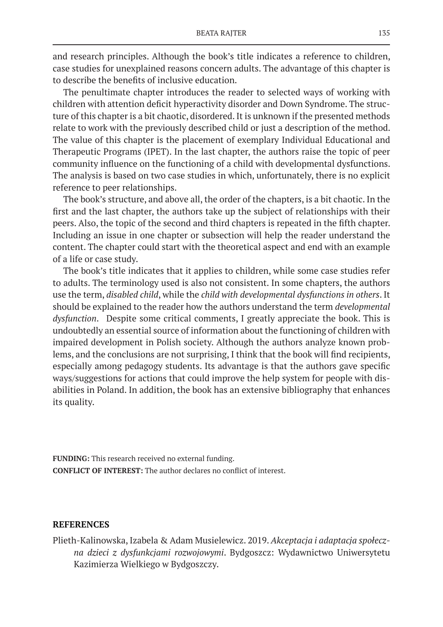and research principles. Although the book's title indicates a reference to children, case studies for unexplained reasons concern adults. The advantage of this chapter is to describe the benefits of inclusive education.

The penultimate chapter introduces the reader to selected ways of working with children with attention deficit hyperactivity disorder and Down Syndrome. The structure of this chapter is a bit chaotic, disordered. It is unknown if the presented methods relate to work with the previously described child or just a description of the method. The value of this chapter is the placement of exemplary Individual Educational and Therapeutic Programs (IPET). In the last chapter, the authors raise the topic of peer community influence on the functioning of a child with developmental dysfunctions. The analysis is based on two case studies in which, unfortunately, there is no explicit reference to peer relationships.

The book's structure, and above all, the order of the chapters, is a bit chaotic. In the first and the last chapter, the authors take up the subject of relationships with their peers. Also, the topic of the second and third chapters is repeated in the fifth chapter. Including an issue in one chapter or subsection will help the reader understand the content. The chapter could start with the theoretical aspect and end with an example of a life or case study.

The book's title indicates that it applies to children, while some case studies refer to adults. The terminology used is also not consistent. In some chapters, the authors use the term, *disabled child*, while the *child with developmental dysfunctions in others*. It should be explained to the reader how the authors understand the term *developmental dysfunction*. Despite some critical comments, I greatly appreciate the book. This is undoubtedly an essential source of information about the functioning of children with impaired development in Polish society. Although the authors analyze known problems, and the conclusions are not surprising, I think that the book will find recipients, especially among pedagogy students. Its advantage is that the authors gave specific ways/suggestions for actions that could improve the help system for people with disabilities in Poland. In addition, the book has an extensive bibliography that enhances its quality.

**FUNDING:** This research received no external funding. **CONFLICT OF INTEREST:** The author declares no conflict of interest.

## **REFERENCES**

Plieth-Kalinowska, Izabela & Adam Musielewicz. 2019. *Akceptacja i adaptacja społeczna dzieci z dysfunkcjami rozwojowymi*. Bydgoszcz: Wydawnictwo Uniwersytetu Kazimierza Wielkiego w Bydgoszczy.